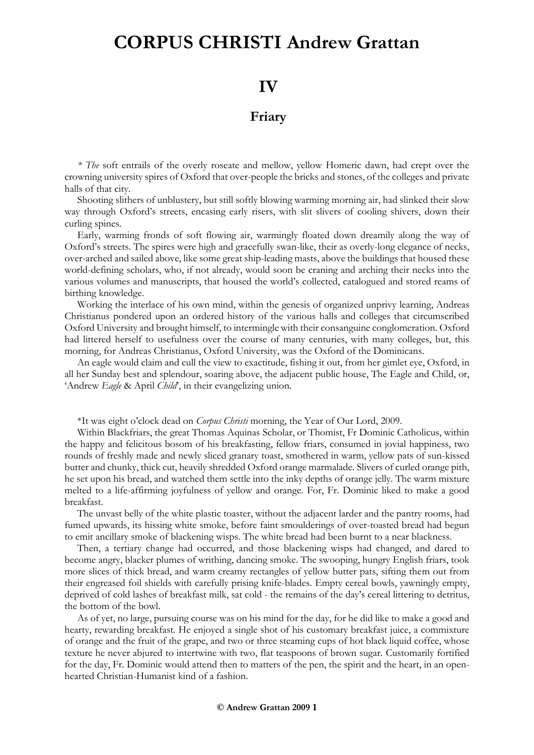## **CORPUS CHRISTI Andrew Grattan**

## **IV**

## **Friary**

*\* The* soft entrails of the overly roseate and mellow, yellow Homeric dawn, had crept over the crowning university spires of Oxford that over-people the bricks and stones, of the colleges and private halls of that city.

Shooting slithers of unblustery, but still softly blowing warming morning air, had slinked their slow way through Oxford's streets, encasing early risers, with slit slivers of cooling shivers, down their curling spines.

Early, warming fronds of soft flowing air, warmingly floated down dreamily along the way of Oxford's streets. The spires were high and gracefully swan-like, their as overly-long elegance of necks, over-arched and sailed above, like some great ship-leading masts, above the buildings that housed these world-defining scholars, who, if not already, would soon be craning and arching their necks into the various volumes and manuscripts, that housed the world's collected, catalogued and stored reams of birthing knowledge.

Working the interlace of his own mind, within the genesis of organized unprivy learning, Andreas Christianus pondered upon an ordered history of the various halls and colleges that circumscribed Oxford University and brought himself, to intermingle with their consanguine conglomeration. Oxford had littered herself to usefulness over the course of many centuries, with many colleges, but, this morning, for Andreas Christianus, Oxford University, was the Oxford of the Dominicans.

An eagle would claim and cull the view to exactitude, fishing it out, from her gimlet eye, Oxford, in all her Sunday best and splendour, soaring above, the adjacent public house, The Eagle and Child, or, 'Andrew *Eagle* & April *Child*', in their evangelizing union.

\*It was eight o'clock dead on *Corpus Christi* morning, the Year of Our Lord, 2009.

Within Blackfriars, the great Thomas Aquinas Scholar, or Thomist, Fr Dominic Catholicus, within the happy and felicitous bosom of his breakfasting, fellow friars, consumed in jovial happiness, two rounds of freshly made and newly sliced granary toast, smothered in warm, yellow pats of sun-kissed butter and chunky, thick cut, heavily shredded Oxford orange marmalade. Slivers of curled orange pith, he set upon his bread, and watched them settle into the inky depths of orange jelly. The warm mixture melted to a life-affirming joyfulness of yellow and orange. For, Fr. Dominic liked to make a good breakfast.

The unvast belly of the white plastic toaster, without the adjacent larder and the pantry rooms, had fumed upwards, its hissing white smoke, before faint smoulderings of over-toasted bread had begun to emit ancillary smoke of blackening wisps. The white bread had been burnt to a near blackness.

Then, a tertiary change had occurred, and those blackening wisps had changed, and dared to become angry, blacker plumes of writhing, dancing smoke. The swooping, hungry English friars, took more slices of thick bread, and warm creamy rectangles of yellow butter pats, sifting them out from their engreased foil shields with carefully prising knife-blades. Empty cereal bowls, yawningly empty, deprived of cold lashes of breakfast milk, sat cold - the remains of the day's cereal littering to detritus, the bottom of the bowl.

As of yet, no large, pursuing course was on his mind for the day, for he did like to make a good and hearty, rewarding breakfast. He enjoyed a single shot of his customary breakfast juice, a commixture of orange and the fruit of the grape, and two or three steaming cups of hot black liquid coffee, whose texture he never abjured to intertwine with two, flat teaspoons of brown sugar. Customarily fortified for the day, Fr. Dominic would attend then to matters of the pen, the spirit and the heart, in an openhearted Christian-Humanist kind of a fashion.